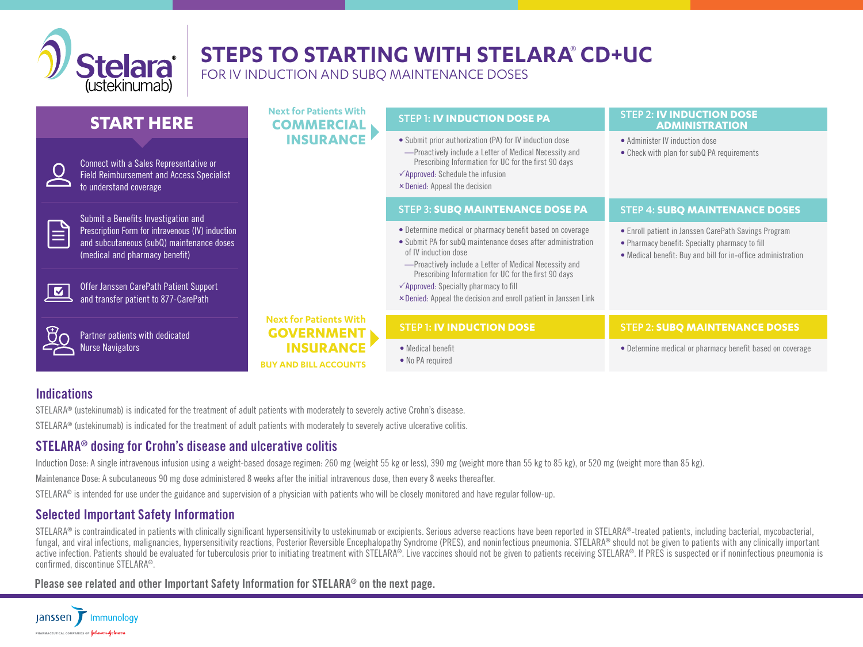

# **STEPS TO STARTING WITH STELARA**® **CD+UC**

FOR IV INDUCTION AND SUBQ MAINTENANCE DOSES

| <b>START HERE</b>                                                                                                                    | <b>Next for Patients With</b><br><b>COMMERCIAL</b>                                                     | <b>STEP 1: IV INDUCTION DOSE PA</b>                                                                                                                                                                                                            | <b>STEP 2: IV INDUCTION DOSE</b><br><b>ADMINISTRATION</b>                                                                                                              |
|--------------------------------------------------------------------------------------------------------------------------------------|--------------------------------------------------------------------------------------------------------|------------------------------------------------------------------------------------------------------------------------------------------------------------------------------------------------------------------------------------------------|------------------------------------------------------------------------------------------------------------------------------------------------------------------------|
| Connect with a Sales Representative or<br>Field Reimbursement and Access Specialist<br>to understand coverage                        |                                                                                                        | • Submit prior authorization (PA) for IV induction dose<br>-Proactively include a Letter of Medical Necessity and<br>Prescribing Information for UC for the first 90 days<br>√Approved: Schedule the infusion<br>× Denied: Appeal the decision | • Administer IV induction dose<br>• Check with plan for subQ PA requirements                                                                                           |
| Submit a Benefits Investigation and                                                                                                  |                                                                                                        | <b>STEP 3: SUBQ MAINTENANCE DOSE PA</b>                                                                                                                                                                                                        | <b>STEP 4: SUBQ MAINTENANCE DOSES</b>                                                                                                                                  |
| E<br>Prescription Form for intravenous (IV) induction<br>and subcutaneous (subQ) maintenance doses<br>(medical and pharmacy benefit) |                                                                                                        | • Determine medical or pharmacy benefit based on coverage<br>• Submit PA for subQ maintenance doses after administration<br>of IV induction dose<br>-Proactively include a Letter of Medical Necessity and                                     | • Enroll patient in Janssen CarePath Savings Program<br>• Pharmacy benefit: Specialty pharmacy to fill<br>• Medical benefit: Buy and bill for in-office administration |
| Offer Janssen CarePath Patient Support<br>$\overline{\mathbf{z}}$<br>and transfer patient to 877-CarePath                            | <b>Next for Patients With</b><br><b>GOVERNMENT</b><br><b>INSURANCE</b><br><b>BUY AND BILL ACCOUNTS</b> | Prescribing Information for UC for the first 90 days<br>√Approved: Specialty pharmacy to fill<br>× Denied: Appeal the decision and enroll patient in Janssen Link                                                                              |                                                                                                                                                                        |
| Partner patients with dedicated<br>lurse Navigators                                                                                  |                                                                                                        | <b>STEP 1: IV INDUCTION DOSE</b>                                                                                                                                                                                                               | <b>STEP 2: SUBQ MAINTENANCE DOSES</b>                                                                                                                                  |
|                                                                                                                                      |                                                                                                        | • Medical benefit<br>• No PA required                                                                                                                                                                                                          | • Determine medical or pharmacy benefit based on coverage                                                                                                              |
|                                                                                                                                      |                                                                                                        |                                                                                                                                                                                                                                                |                                                                                                                                                                        |

## **Indications**

janssen

pharmaceutical companies of **(c/mwon=(c/mwo** 

STELARA<sup>®</sup> (ustekinumab) is indicated for the treatment of adult patients with moderately to severely active Crohn's disease. STELARA® (ustekinumab) is indicated for the treatment of adult patients with moderately to severely active ulcerative colitis.

# STELARA® dosing for Crohn's disease and ulcerative colitis

Induction Dose: A single intravenous infusion using a weight-based dosage regimen: 260 mg (weight 55 kg or less), 390 mg (weight more than 55 kg to 85 kg), or 520 mg (weight more than 85 kg).

Maintenance Dose: A subcutaneous 90 mg dose administered 8 weeks after the initial intravenous dose, then every 8 weeks thereafter.

STELARA® is intended for use under the guidance and supervision of a physician with patients who will be closely monitored and have regular follow-up.

# Selected Important Safety Information

**Immunology** 

STELARA® is contraindicated in patients with clinically significant hypersensitivity to ustekinumab or excipients. Serious adverse reactions have been reported in STELARA®-treated patients, including bacterial, mycobacteri fungal, and viral infections, malignancies, hypersensitivity reactions, Posterior Reversible Encephalopathy Syndrome (PRES), and noninfectious pneumonia. STELARA® should not be given to patients with any clinically importa active infection. Patients should be evaluated for tuberculosis prior to initiating treatment with STELARA®. Live vaccines should not be given to patients receiving STELARA®. If PRES is suspected or if noninfectious pneumo confirmed, discontinue STELARA®.

Please see related and other Important Safety Information for STELARA® on the next page.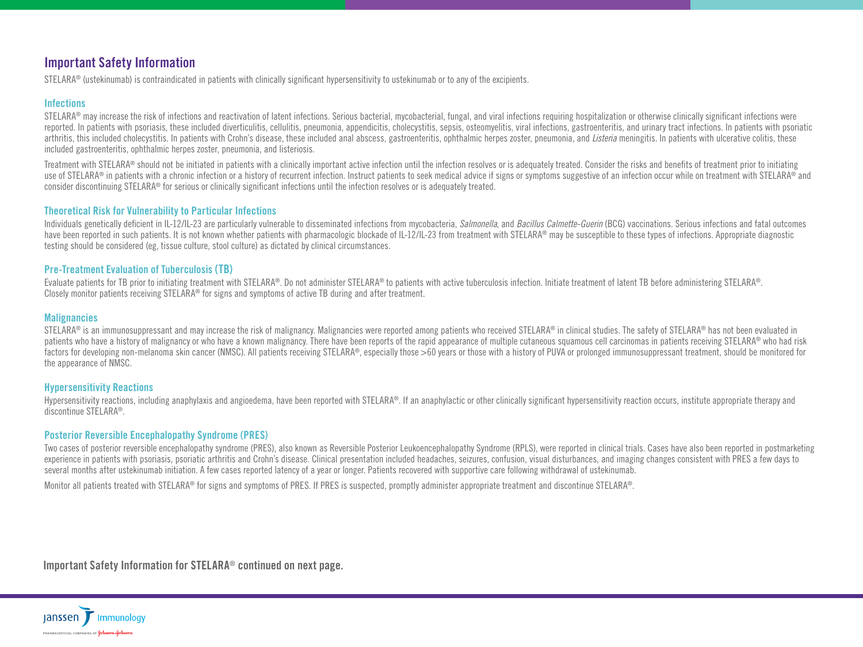## <span id="page-1-0"></span>Important Safety Information

 $STELARA<sup>®</sup>$  (ustekinumab) is contraindicated in patients with clinically significant hypersensitivity to ustekinumab or to any of the excipients.

### **Infections**

STELARA® may increase the risk of infections and reactivation of latent infections. Serious bacterial, mycobacterial, fungal, and viral infections requiring hospitalization or otherwise clinically significant infections we reported. In patients with psoriasis, these included diverticulitis, cellulitis, pneumonia, appendicitis, cholecystitis, sepsis, osteomyelitis, viral infections, gastroenteritis, and urinary tract infections. In patients w arthritis, this included cholecystitis. In patients with Crohn's disease, these included anal abscess, gastroenteritis, ophthalmic herpes zoster, pneumonia, and *Listeria* meningitis. In patients with ulcerative colitis, t included gastroenteritis, ophthalmic herpes zoster, pneumonia, and listeriosis.

Treatment with STELARA® should not be initiated in patients with a clinically important active infection until the infection resolves or is adequately treated. Consider the risks and benefits of treatment prior to initiati use of STELARA® in patients with a chronic infection or a history of recurrent infection. Instruct patients to seek medical advice if signs or symptoms suggestive of an infection occur while on treatment with STELARA® and consider discontinuing STELARA® for serious or clinically significant infections until the infection resolves or is adequately treated.

#### Theoretical Risk for Vulnerability to Particular Infections

Individuals genetically deficient in IL-12/IL-23 are particularly vulnerable to disseminated infections from mycobacteria. Salmonella, and Bacillus Calmette-Guerin (BCG) vaccinations. Serious infections and fatal outcomes have been reported in such patients. It is not known whether patients with pharmacologic blockade of IL-12/IL-23 from treatment with STELARA® may be susceptible to these types of infections. Appropriate diagnostic testing should be considered (eg, tissue culture, stool culture) as dictated by clinical circumstances.

#### Pre-Treatment Evaluation of Tuberculosis (TB)

Evaluate patients for TB prior to initiating treatment with STELARA®. Do not administer STELARA® to patients with active tuberculosis infection. Initiate treatment of latent TB before administering STELARA®. Closely monitor patients receiving STELARA® for signs and symptoms of active TB during and after treatment.

#### **Malignancies**

STELARA® is an immunosuppressant and may increase the risk of malignancy. Malignancies were reported among patients who received STELARA® in clinical studies. The safety of STELARA® has not been evaluated in patients who have a history of malignancy or who have a known malignancy. There have been reports of the rapid appearance of multiple cutaneous squamous cell carcinomas in patients receiving STELARA® who had risk factors for developing non-melanoma skin cancer (NMSC). All patients receiving STELARA®, especially those >60 years or those with a history of PUVA or prolonged immunosuppressant treatment, should be monitored for the appearance of NMSC.

#### Hypersensitivity Reactions

Hypersensitivity reactions, including anaphylaxis and angioedema, have been reported with STELARA®. If an anaphylactic or other clinically significant hypersensitivity reaction occurs, institute appropriate therapy and discontinue STELARA®.

#### Posterior Reversible Encephalopathy Syndrome (PRES)

Two cases of posterior reversible encephalopathy syndrome (PRES), also known as Reversible Posterior Leukoencephalopathy Syndrome (RPLS), were reported in clinical trials. Cases have also been reported in postmarketing experience in patients with psoriasis, psoriatic arthritis and Crohn's disease. Clinical presentation included headaches, seizures, confusion, visual disturbances, and imaging changes consistent with PRES a few days to several months after ustekinumab initiation. A few cases reported latency of a year or longer. Patients recovered with supportive care following withdrawal of ustekinumab.

Monitor all patients treated with STELARA® for signs and symptoms of PRES. If PRES is suspected, promptly administer appropriate treatment and discontinue STELARA®.

Important Safety Information for STELARA® continued on next page.

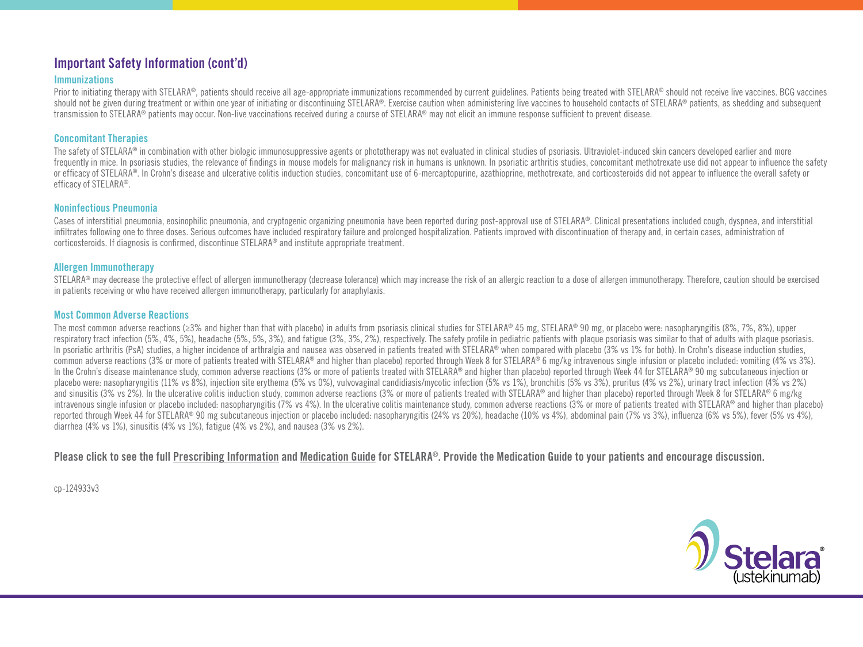## Important Safety Information (cont'd)

#### **Immunizations**

Prior to initiating therapy with STELARA®, patients should receive all age-appropriate immunizations recommended by current guidelines. Patients being treated with STELARA® should not receive live vaccines. BCG vaccines should not be given during treatment or within one year of initiating or discontinuing STELARA®. Exercise caution when administering live vaccines to household contacts of STELARA® patients, as shedding and subsequent transmission to STELARA® patients may occur. Non-live vaccinations received during a course of STELARA® may not elicit an immune response sufficient to prevent disease.

#### Concomitant Therapies

The safety of STELARA® in combination with other biologic immunosuppressive agents or phototherapy was not evaluated in clinical studies of psoriasis. Ultraviolet-induced skin cancers developed earlier and more frequently in mice. In psoriasis studies, the relevance of findings in mouse models for malignancy risk in humans is unknown. In psoriatic arthritis studies, concomitant methotrexate use did not appear to influence the saf or efficacy of STELARA®. In Crohn's disease and ulcerative colitis induction studies, concomitant use of 6-mercaptopurine, azathioprine, methotrexate, and corticosteroids did not appear to influence the overall safety or efficacy of STELARA®.

#### Noninfectious Pneumonia

Cases of interstitial pneumonia, eosinophilic pneumonia, and cryptogenic organizing pneumonia have been reported during post-approval use of STELARA®. Clinical presentations included cough, dyspnea, and interstitial infiltrates following one to three doses. Serious outcomes have included respiratory failure and prolonged hospitalization. Patients improved with discontinuation of therapy and, in certain cases, administration of corticosteroids. If diagnosis is confirmed, discontinue STELARA® and institute appropriate treatment.

#### Allergen Immunotherapy

 $STELARA^{\circ}$  may decrease the protective effect of allergen immunotherapy (decrease tolerance) which may increase the risk of an allergic reaction to a dose of allergen immunotherapy. Therefore, caution should be exercised in patients receiving or who have received allergen immunotherapy, particularly for anaphylaxis.

#### Most Common Adverse Reactions

The most common adverse reactions (≥3% and higher than that with placebo) in adults from psoriasis clinical studies for STELARA® 45 mg, STELARA® 90 mg, or placebo were: nasopharyngitis (8%, 7%, 8%), upper respiratory tract infection (5%, 4%, 5%), headache (5%, 5%, 3%), and fatigue (3%, 3%, 2%), respectively. The safety profile in pediatric patients with plaque psoriasis was similar to that of adults with plaque psoriasis. In psoriatic arthritis (PsA) studies, a higher incidence of arthralgia and nausea was observed in patients treated with STELARA® when compared with placebo (3% vs 1% for both). In Crohn's disease induction studies, common adverse reactions (3% or more of patients treated with STELARA® and higher than placebo) reported through Week 8 for STELARA® 6 mg/kg intravenous single infusion or placebo included: vomiting (4% vs 3%). In the Crohn's disease maintenance study, common adverse reactions (3% or more of patients treated with STELARA® and higher than placebo) reported through Week 44 for STELARA® 90 mg subcutaneous injection or placebo were: nasopharyngitis (11% vs 8%), injection site erythema (5% vs 0%), vulvovaginal candidiasis/mycotic infection (5% vs 1%), bronchitis (5% vs 3%), pruritus (4% vs 2%), urinary tract infection (4% vs 2%) and sinusitis (3% vs 2%). In the ulcerative colitis induction study, common adverse reactions (3% or more of patients treated with STELARA® and higher than placebo) reported through Week 8 for STELARA® 6 mg/kg intravenous single infusion or placebo included: nasopharyngitis (7% vs 4%). In the ulcerative colitis maintenance study, common adverse reactions (3% or more of patients treated with STELARA® and higher than placebo) reported through Week 44 for STELARA® 90 mg subcutaneous injection or placebo included: nasopharyngitis (24% vs 20%), headache (10% vs 4%), abdominal pain (7% vs 3%), influenza (6% vs 5%), fever (5% vs 4%), diarrhea (4% vs 1%), sinusitis (4% vs 1%), fatigue (4% vs 2%), and nausea (3% vs 2%).

### Please click to see the full [Prescribing Information](https://www.janssenlabels.com/package-insert/product-monograph/prescribing-information/STELARA-pi.pdf) and [Medication Guide](http://www.janssenlabels.com/package-insert/product-patient-information/STELARA-medication-guide.pdf) for STELARA®. Provide the Medication Guide to your patients and encourage discussion.

cp-124933v3